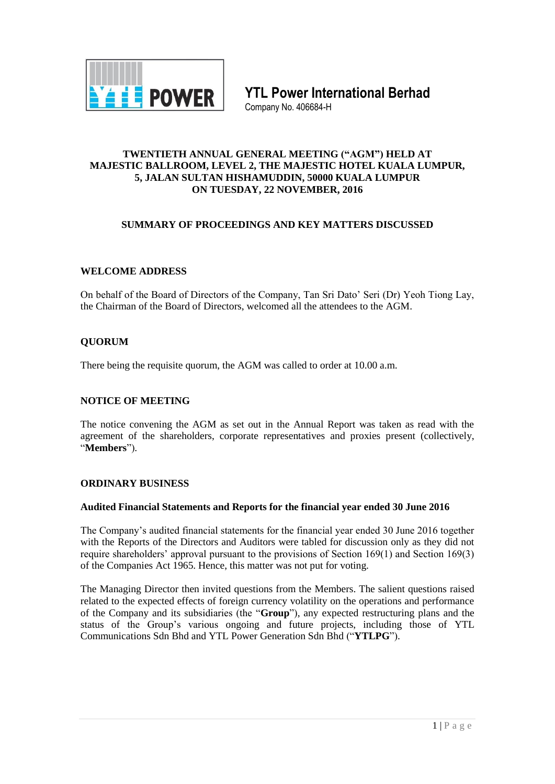

**YTL Power International Berhad**

Company No. 406684-H

#### **TWENTIETH ANNUAL GENERAL MEETING ("AGM") HELD AT MAJESTIC BALLROOM, LEVEL 2, THE MAJESTIC HOTEL KUALA LUMPUR, 5, JALAN SULTAN HISHAMUDDIN, 50000 KUALA LUMPUR ON TUESDAY, 22 NOVEMBER, 2016**

# **SUMMARY OF PROCEEDINGS AND KEY MATTERS DISCUSSED**

# **WELCOME ADDRESS**

On behalf of the Board of Directors of the Company, Tan Sri Dato' Seri (Dr) Yeoh Tiong Lay, the Chairman of the Board of Directors, welcomed all the attendees to the AGM.

## **QUORUM**

There being the requisite quorum, the AGM was called to order at 10.00 a.m.

## **NOTICE OF MEETING**

The notice convening the AGM as set out in the Annual Report was taken as read with the agreement of the shareholders, corporate representatives and proxies present (collectively, "**Members**").

## **ORDINARY BUSINESS**

#### **Audited Financial Statements and Reports for the financial year ended 30 June 2016**

The Company's audited financial statements for the financial year ended 30 June 2016 together with the Reports of the Directors and Auditors were tabled for discussion only as they did not require shareholders' approval pursuant to the provisions of Section 169(1) and Section 169(3) of the Companies Act 1965. Hence, this matter was not put for voting.

The Managing Director then invited questions from the Members. The salient questions raised related to the expected effects of foreign currency volatility on the operations and performance of the Company and its subsidiaries (the "**Group**"), any expected restructuring plans and the status of the Group's various ongoing and future projects, including those of YTL Communications Sdn Bhd and YTL Power Generation Sdn Bhd ("**YTLPG**").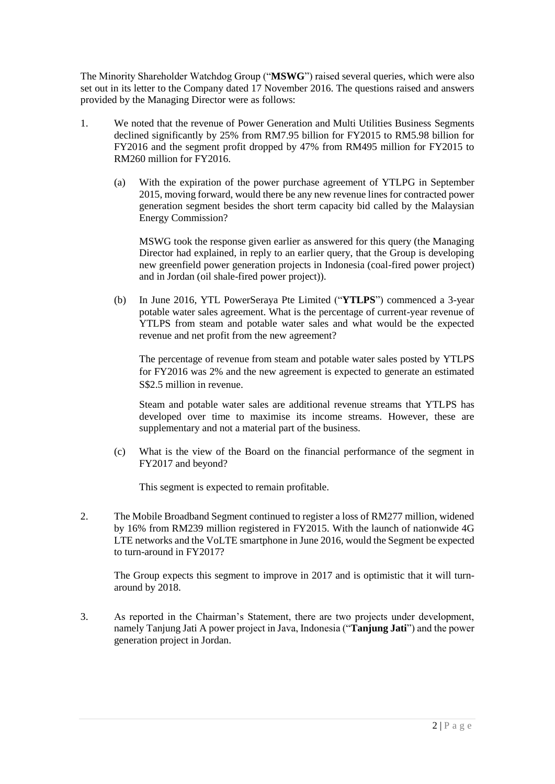The Minority Shareholder Watchdog Group ("**MSWG**") raised several queries, which were also set out in its letter to the Company dated 17 November 2016. The questions raised and answers provided by the Managing Director were as follows:

- 1. We noted that the revenue of Power Generation and Multi Utilities Business Segments declined significantly by 25% from RM7.95 billion for FY2015 to RM5.98 billion for FY2016 and the segment profit dropped by 47% from RM495 million for FY2015 to RM260 million for FY2016.
	- (a) With the expiration of the power purchase agreement of YTLPG in September 2015, moving forward, would there be any new revenue lines for contracted power generation segment besides the short term capacity bid called by the Malaysian Energy Commission?

MSWG took the response given earlier as answered for this query (the Managing Director had explained, in reply to an earlier query, that the Group is developing new greenfield power generation projects in Indonesia (coal-fired power project) and in Jordan (oil shale-fired power project)).

(b) In June 2016, YTL PowerSeraya Pte Limited ("**YTLPS**") commenced a 3-year potable water sales agreement. What is the percentage of current-year revenue of YTLPS from steam and potable water sales and what would be the expected revenue and net profit from the new agreement?

The percentage of revenue from steam and potable water sales posted by YTLPS for FY2016 was 2% and the new agreement is expected to generate an estimated S\$2.5 million in revenue.

Steam and potable water sales are additional revenue streams that YTLPS has developed over time to maximise its income streams. However, these are supplementary and not a material part of the business.

(c) What is the view of the Board on the financial performance of the segment in FY2017 and beyond?

This segment is expected to remain profitable.

2. The Mobile Broadband Segment continued to register a loss of RM277 million, widened by 16% from RM239 million registered in FY2015. With the launch of nationwide 4G LTE networks and the VoLTE smartphone in June 2016, would the Segment be expected to turn-around in FY2017?

The Group expects this segment to improve in 2017 and is optimistic that it will turnaround by 2018.

3. As reported in the Chairman's Statement, there are two projects under development, namely Tanjung Jati A power project in Java, Indonesia ("**Tanjung Jati**") and the power generation project in Jordan.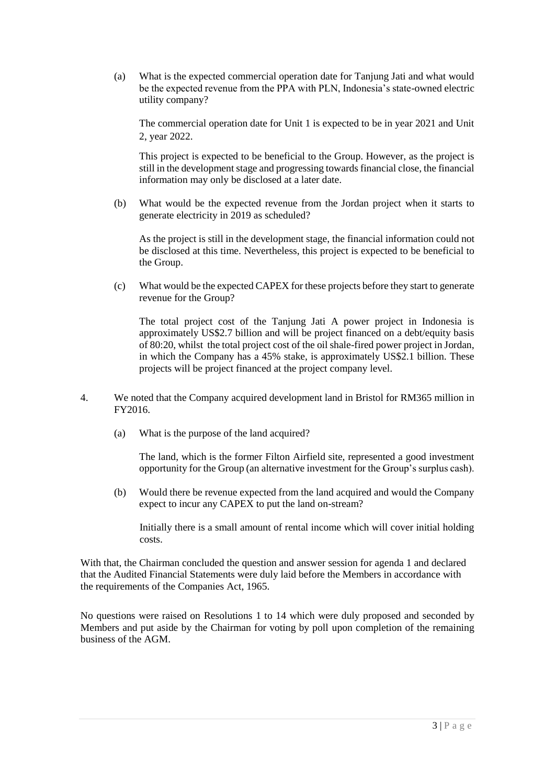(a) What is the expected commercial operation date for Tanjung Jati and what would be the expected revenue from the PPA with PLN, Indonesia's state-owned electric utility company?

The commercial operation date for Unit 1 is expected to be in year 2021 and Unit 2, year 2022.

This project is expected to be beneficial to the Group. However, as the project is still in the development stage and progressing towards financial close, the financial information may only be disclosed at a later date.

(b) What would be the expected revenue from the Jordan project when it starts to generate electricity in 2019 as scheduled?

As the project is still in the development stage, the financial information could not be disclosed at this time. Nevertheless, this project is expected to be beneficial to the Group.

(c) What would be the expected CAPEX for these projects before they start to generate revenue for the Group?

The total project cost of the Tanjung Jati A power project in Indonesia is approximately US\$2.7 billion and will be project financed on a debt/equity basis of 80:20, whilst the total project cost of the oil shale-fired power project in Jordan, in which the Company has a 45% stake, is approximately US\$2.1 billion. These projects will be project financed at the project company level.

- 4. We noted that the Company acquired development land in Bristol for RM365 million in FY2016.
	- (a) What is the purpose of the land acquired?

The land, which is the former Filton Airfield site, represented a good investment opportunity for the Group (an alternative investment for the Group's surplus cash).

(b) Would there be revenue expected from the land acquired and would the Company expect to incur any CAPEX to put the land on-stream?

Initially there is a small amount of rental income which will cover initial holding costs.

With that, the Chairman concluded the question and answer session for agenda 1 and declared that the Audited Financial Statements were duly laid before the Members in accordance with the requirements of the Companies Act, 1965.

No questions were raised on Resolutions 1 to 14 which were duly proposed and seconded by Members and put aside by the Chairman for voting by poll upon completion of the remaining business of the AGM.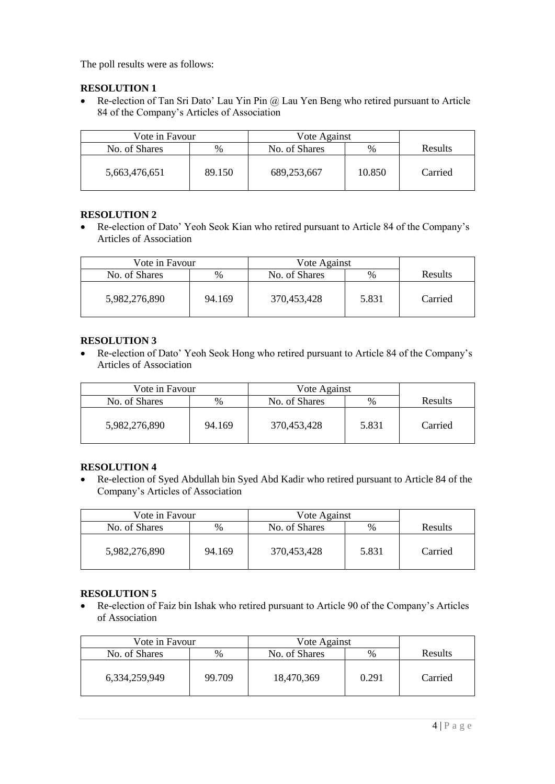The poll results were as follows:

# **RESOLUTION 1**

• Re-election of Tan Sri Dato' Lau Yin Pin @ Lau Yen Beng who retired pursuant to Article 84 of the Company's Articles of Association

| Vote in Favour |        | Vote Against  |        |                |
|----------------|--------|---------------|--------|----------------|
| No. of Shares  | $\%$   | No. of Shares | %      | <b>Results</b> |
| 5,663,476,651  | 89.150 | 689,253,667   | 10.850 | Carried        |

# **RESOLUTION 2**

 Re-election of Dato' Yeoh Seok Kian who retired pursuant to Article 84 of the Company's Articles of Association

| Vote in Favour |        | Vote Against  |               |         |
|----------------|--------|---------------|---------------|---------|
| No. of Shares  | $\%$   | No. of Shares | $\frac{0}{0}$ | Results |
| 5,982,276,890  | 94.169 | 370,453,428   | 5.831         | Carried |

# **RESOLUTION 3**

 Re-election of Dato' Yeoh Seok Hong who retired pursuant to Article 84 of the Company's Articles of Association

| Vote in Favour |               | Vote Against  |               |                |
|----------------|---------------|---------------|---------------|----------------|
| No. of Shares  | $\frac{0}{0}$ | No. of Shares | $\frac{0}{0}$ | <b>Results</b> |
| 5,982,276,890  | 94.169        | 370,453,428   | 5.831         | Carried        |

# **RESOLUTION 4**

 Re-election of Syed Abdullah bin Syed Abd Kadir who retired pursuant to Article 84 of the Company's Articles of Association

| Vote in Favour |        | Vote Against  |       |                |
|----------------|--------|---------------|-------|----------------|
| No. of Shares  | %      | No. of Shares | $\%$  | <b>Results</b> |
| 5,982,276,890  | 94.169 | 370,453,428   | 5.831 | Carried        |

# **RESOLUTION 5**

 Re-election of Faiz bin Ishak who retired pursuant to Article 90 of the Company's Articles of Association

| Vote in Favour |        | Vote Against  |       |         |
|----------------|--------|---------------|-------|---------|
| No. of Shares  | $\%$   | No. of Shares | $\%$  | Results |
| 6,334,259,949  | 99.709 | 18,470,369    | 0.291 | Carried |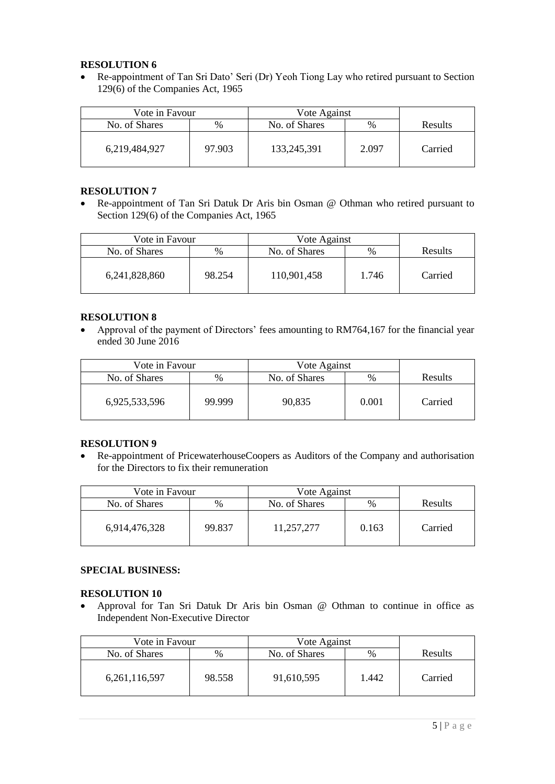## **RESOLUTION 6**

 Re-appointment of Tan Sri Dato' Seri (Dr) Yeoh Tiong Lay who retired pursuant to Section 129(6) of the Companies Act, 1965

| Vote in Favour |        | Vote Against  |               |         |
|----------------|--------|---------------|---------------|---------|
| No. of Shares  | $\%$   | No. of Shares | $\frac{0}{0}$ | Results |
| 6,219,484,927  | 97.903 | 133,245,391   | 2.097         | Carried |

#### **RESOLUTION 7**

 Re-appointment of Tan Sri Datuk Dr Aris bin Osman @ Othman who retired pursuant to Section 129(6) of the Companies Act, 1965

| Vote in Favour |        | Vote Against  |               |                |
|----------------|--------|---------------|---------------|----------------|
| No. of Shares  | %      | No. of Shares | $\frac{0}{0}$ | <b>Results</b> |
| 6,241,828,860  | 98.254 | 110,901,458   | 1.746         | Carried        |

#### **RESOLUTION 8**

 Approval of the payment of Directors' fees amounting to RM764,167 for the financial year ended 30 June 2016

| Vote in Favour |        | Vote Against  |       |         |
|----------------|--------|---------------|-------|---------|
| No. of Shares  | $\%$   | No. of Shares | $\%$  | Results |
| 6,925,533,596  | 99.999 | 90,835        | 0.001 | Carried |

# **RESOLUTION 9**

 Re-appointment of PricewaterhouseCoopers as Auditors of the Company and authorisation for the Directors to fix their remuneration

| Vote in Favour |        | Vote Against  |               |         |
|----------------|--------|---------------|---------------|---------|
| No. of Shares  | %      | No. of Shares | $\frac{0}{0}$ | Results |
| 6,914,476,328  | 99.837 | 11,257,277    | 0.163         | Carried |

## **SPECIAL BUSINESS:**

## **RESOLUTION 10**

 Approval for Tan Sri Datuk Dr Aris bin Osman @ Othman to continue in office as Independent Non-Executive Director

| Vote in Favour   |        | Vote Against  |       |         |
|------------------|--------|---------------|-------|---------|
| No. of Shares    | %      | No. of Shares | $\%$  | Results |
| 6, 261, 116, 597 | 98.558 | 91,610,595    | 1.442 | Carried |